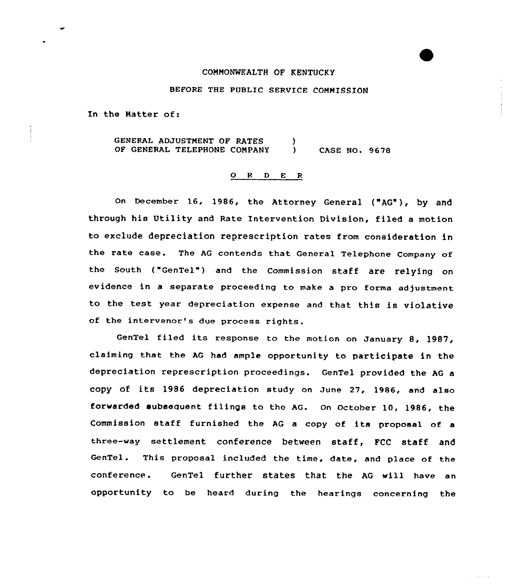## COMMONWEALTH OF KENTUCKY

## BEFORE THE PUBLIC SERVICE COMMISSION

In the Natter of:

GENERAL ADJUSTMENT OF RATES OF GENERAL TELEPHONE COMPANY  $\lambda$ ) CASE NO- 9678

## 0 <sup>R</sup> <sup>D</sup> <sup>E</sup> <sup>R</sup>

on December 16, 1986, the Attorney General ("AG"), by and through his Utility and Rate Intervention Division, filed a motion to exclude depreciation represcription rates from consideration in the rate case. The AG contends that General Telephone Company of the South ("GenTel") and the Commission staff are relying on evidence in a separate proceeding to make a pro forma adjustment to the test year depreciation expense and that this is violative of the intervenor's due process rights.

GenTel filed its response to the motion on January 8, 1987, claiming that the AG had ample opportunity to participate in the depreciation represcription proceedings. GenTel provided the AG a copy of its 1986 depreciation study on June 27, 1986, and also forwarded subsequent filings to the AG. On October 10, 1986, the Commission staff furnished the AG <sup>a</sup> copy of its proposal of <sup>a</sup> three-way settlement conference between staff, FCC staff and GenTel. This proposal included the time, date, and place of the conference. GenTel further states that the AG will have an opportunity to be heard during the hearings concerning the